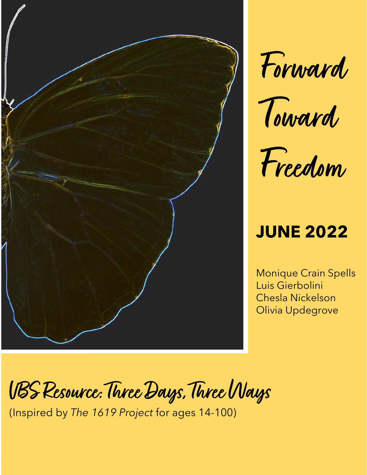

Forward

**Toward**

**Freedom**

## **JUNE 2022**

Monique Crain Spells Luis Gierbolini Chesla Nickelson Olivia Updegrove

**VBS Resource: Three Days, Three Ways**

(Inspired by *The 1619 Project* for ages 14-100)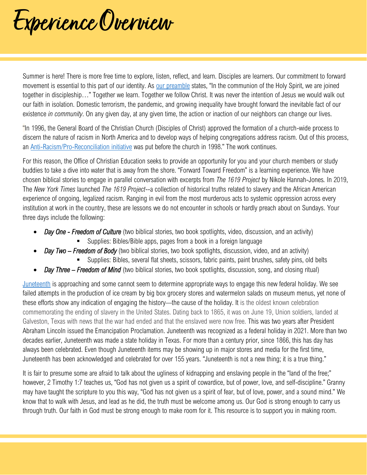**Experience Overview**

Summer is here! There is more free time to explore, listen, reflect, and learn. Disciples are learners. Our commitment to forward movement is essential to this part of our identity. As [our preamble](https://disciples.org/our-identity/the-design/) states, "In the communion of the Holy Spirit, we are joined together in discipleship…" Together we learn. Together we follow Christ. It was never the intention of Jesus we would walk out our faith in isolation. Domestic terrorism, the pandemic, and growing inequality have brought forward the inevitable fact of our existence *in community*. On any given day, at any given time, the action or inaction of our neighbors can change our lives.

"In 1996, the General Board of the Christian Church (Disciples of Christ) approved the formation of a church-wide process to discern the nature of racism in North America and to develop ways of helping congregations address racism. Out of this process, an [Anti-Racism/Pro-Reconciliation initiative](https://reconciliationministry.org/who-we-are/the-initiative/) was put before the church in 1998." The work continues.

For this reason, the Office of Christian Education seeks to provide an opportunity for you and your church members or study buddies to take a dive into water that is away from the shore. "Forward Toward Freedom" is a learning experience. We have chosen biblical stories to engage in parallel conversation with excerpts from *The 1619 Project* by Nikole Hannah-Jones*.* In 2019, The *New York Times* launched *The 1619 Project*--a collection of historical truths related to slavery and the African American experience of ongoing, legalized racism. Ranging in evil from the most murderous acts to systemic oppression across every institution at work in the country, these are lessons we do not encounter in schools or hardly preach about on Sundays. Your three days include the following:

- *Day One Freedom of Culture* (two biblical stories, two book spotlights, video, discussion, and an activity)
	- Supplies: Bibles/Bible apps, pages from a book in a foreign language
- *Day Two Freedom of Body* (two biblical stories, two book spotlights, discussion, video, and an activity)
	- Supplies: Bibles, several flat sheets, scissors, fabric paints, paint brushes, safety pins, old belts
- *Day Three – Freedom of Mind* (two biblical stories, two book spotlights, discussion, song, and closing ritual)

[Juneteenth](https://www.discipleshomemissions.org/congregations/african-american-congregational-nurture/resources/juneteenth/) is approaching and some cannot seem to determine appropriate ways to engage this new federal holiday. We see failed attempts in the production of ice cream by big box grocery stores and watermelon salads on museum menus, yet none of these efforts show any indication of engaging the history—the cause of the holiday. It is the oldest known celebration commemorating the ending of slavery in the United States. Dating back to 1865, it was on June 19, Union soldiers, landed at Galveston, Texas with news that the war had ended and that the enslaved were now free. This was two years after President Abraham Lincoln issued the Emancipation Proclamation. Juneteenth was recognized as a federal holiday in 2021. More than two decades earlier, Juneteenth was made a state holiday in Texas. For more than a century prior, since 1866, this has day has always been celebrated. Even though Juneteenth items may be showing up in major stores and media for the first time, Juneteenth has been acknowledged and celebrated for over 155 years. "Juneteenth is not a new thing; it is a true thing."

It is fair to presume some are afraid to talk about the ugliness of kidnapping and enslaving people in the "land of the free;" however, 2 Timothy 1:7 teaches us, "God has not given us a spirit of cowardice, but of power, love, and self-discipline." Granny may have taught the scripture to you this way, "God has not given us a spirit of fear, but of love, power, and a sound mind." We know that to walk with Jesus, and lead as he did, the truth must be welcome among us. Our God is strong enough to carry us through truth. Our faith in God must be strong enough to make room for it. This resource is to support you in making room.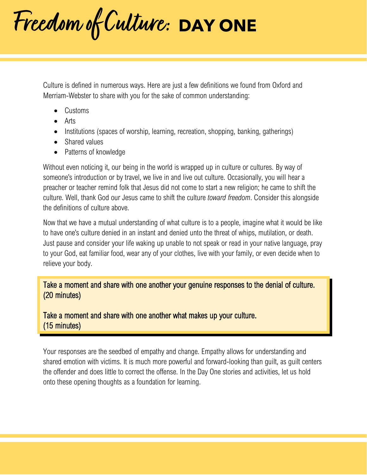**Freedom of Culture: DAY ONE**

Culture is defined in numerous ways. Here are just a few definitions we found from Oxford and Merriam-Webster to share with you for the sake of common understanding:

- Customs
- Arts
- Institutions (spaces of worship, learning, recreation, shopping, banking, gatherings)
- Shared values
- Patterns of knowledge

Without even noticing it, our being in the world is wrapped up in culture or cultures. By way of someone's introduction or by travel, we live in and live out culture. Occasionally, you will hear a preacher or teacher remind folk that Jesus did not come to start a new religion; he came to shift the culture. Well, thank God our Jesus came to shift the culture *toward freedom*. Consider this alongside the definitions of culture above.

Now that we have a mutual understanding of what culture is to a people, imagine what it would be like to have one's culture denied in an instant and denied unto the threat of whips, mutilation, or death. Just pause and consider your life waking up unable to not speak or read in your native language, pray to your God, eat familiar food, wear any of your clothes, live with your family, or even decide when to relieve your body.

Take a moment and share with one another your genuine responses to the denial of culture. (20 minutes)

Take a moment and share with one another what makes up your culture. (15 minutes)

Your responses are the seedbed of empathy and change. Empathy allows for understanding and shared emotion with victims. It is much more powerful and forward-looking than guilt, as guilt centers the offender and does little to correct the offense. In the Day One stories and activities, let us hold onto these opening thoughts as a foundation for learning.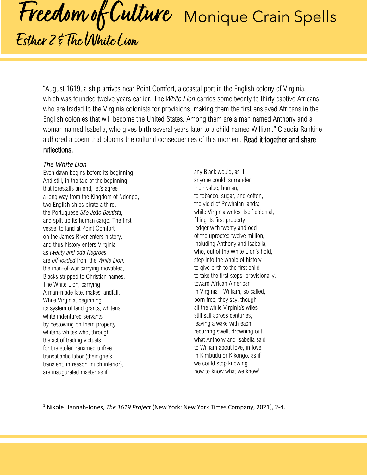Freedom of Culture Monique Crain Spells

**Esther 2 & The White Lion**

"August 1619, a ship arrives near Point Comfort, a coastal port in the English colony of Virginia, which was founded twelve years earlier. The *White Lion* carries some twenty to thirty captive Africans, who are traded to the Virginia colonists for provisions, making them the first enslaved Africans in the English colonies that will become the United States. Among them are a man named Anthony and a woman named Isabella, who gives birth several years later to a child named William." Claudia Rankine authored a poem that blooms the cultural consequences of this moment. Read it together and share reflections.

#### *The White Lion*

Even dawn begins before its beginning And still, in the tale of the beginning that forestalls an end, let's agree a long way from the Kingdom of Ndongo, two English ships pirate a third, the Portuguese *Sāo Joāo Bautista*, and split up its human cargo. The first vessel to land at Point Comfort on the James River enters history, and thus history enters Virginia as *twenty and odd Negroes* are *off-loaded* from the *White Lion*, the man-of-war carrying movables, Blacks stripped to Christian names. The White Lion, carrying A man-made fate, makes landfall, While Virginia, beginning its system of land grants, whitens white indentured servants by bestowing on them property, whitens whites who, through the act of trading victuals for the stolen renamed unfree transatlantic labor (their griefs transient, in reason much inferior), are inaugurated master as if

any Black would, as if anyone could, surrender their value, human, to tobacco, sugar, and cotton, the yield of Powhatan lands; while Virginia writes itself colonial. filling its first property ledger with twenty and odd of the uprooted twelve million, including Anthony and Isabella, who, out of the White Lion's hold, step into the whole of history to give birth to the first child to take the first steps, provisionally, toward African American in Virginia—William, so called, born free, they say, though all the while Virginia's wiles still sail across centuries, leaving a wake with each recurring swell, drowning out what Anthony and Isabella said to William about love, in love, in Kimbudu or Kikongo, as if we could stop knowing how to know what we know<sup>1</sup>

<sup>1</sup> Nikole Hannah-Jones, *The 1619 Project* (New York: New York Times Company, 2021), 2-4.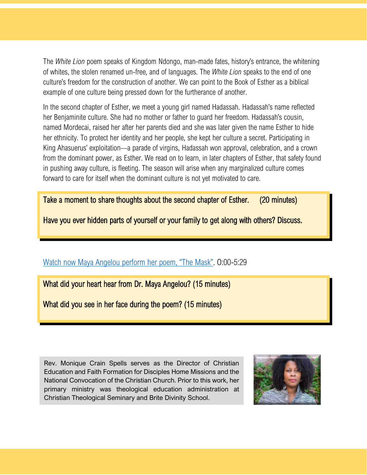The *White Lion* poem speaks of Kingdom Ndongo, man-made fates, history's entrance, the whitening of whites, the stolen renamed un-free, and of languages. The *White Lion* speaks to the end of one culture's freedom for the construction of another. We can point to the Book of Esther as a biblical example of one culture being pressed down for the furtherance of another.

In the second chapter of Esther, we meet a young girl named Hadassah. Hadassah's name reflected her Benjaminite culture. She had no mother or father to guard her freedom. Hadassah's cousin, named Mordecai, raised her after her parents died and she was later given the name Esther to hide her ethnicity. To protect her identity and her people, she kept her culture a secret. Participating in King Ahasuerus' exploitation—a parade of virgins, Hadassah won approval, celebration, and a crown from the dominant power, as Esther. We read on to learn, in later chapters of Esther, that safety found in pushing away culture, is fleeting. The season will arise when any marginalized culture comes forward to care for itself when the dominant culture is not yet motivated to care.

Take a moment to share thoughts about the second chapter of Esther. (20 minutes)

Have you ever hidden parts of yourself or your family to get along with others? Discuss.

#### [Watch now Maya Angelou perform her poem, "The Mask"](https://youtu.be/UT9y9HFHpU0). O:00-5:29

What did your heart hear from Dr. Maya Angelou? (15 minutes)

What did you see in her face during the poem? (15 minutes)

Rev. Monique Crain Spells serves as the Director of Christian Education and Faith Formation for Disciples Home Missions and the National Convocation of the Christian Church. Prior to this work, her primary ministry was theological education administration at Christian Theological Seminary and Brite Divinity School.

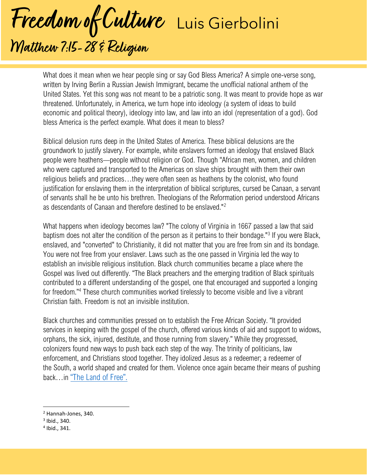## **Freedom of Culture** Luis Gierbolini  **Matthew 7:15-28 & Religion**

What does it mean when we hear people sing or say God Bless America? A simple one-verse song, written by Irving Berlin a Russian Jewish Immigrant, became the unofficial national anthem of the United States. Yet this song was not meant to be a patriotic song. It was meant to provide hope as war threatened. Unfortunately, in America, we turn hope into ideology (a system of ideas to build economic and political theory), ideology into law, and law into an idol (representation of a god). God bless America is the perfect example. What does it mean to bless?

Biblical delusion runs deep in the United States of America. These biblical delusions are the groundwork to justify slavery. For example, white enslavers formed an ideology that enslaved Black people were heathens—people without religion or God. Though "African men, women, and children who were captured and transported to the Americas on slave ships brought with them their own religious beliefs and practices…they were often seen as heathens by the colonist, who found justification for enslaving them in the interpretation of biblical scriptures, cursed be Canaan, a servant of servants shall he be unto his brethren. Theologians of the Reformation period understood Africans as descendants of Canaan and therefore destined to be enslaved."<sup>2</sup>

What happens when ideology becomes law? "The colony of Virginia in 1667 passed a law that said baptism does not alter the condition of the person as it pertains to their bondage."<sup>3</sup> If you were Black, enslaved, and "converted" to Christianity, it did not matter that you are free from sin and its bondage. You were not free from your enslaver. Laws such as the one passed in Virginia led the way to establish an invisible religious institution. Black church communities became a place where the Gospel was lived out differently. "The Black preachers and the emerging tradition of Black spirituals contributed to a different understanding of the gospel, one that encouraged and supported a longing for freedom."<sup>4</sup> These church communities worked tirelessly to become visible and live a vibrant Christian faith. Freedom is not an invisible institution.

Black churches and communities pressed on to establish the Free African Society. "It provided services in keeping with the gospel of the church, offered various kinds of aid and support to widows, orphans, the sick, injured, destitute, and those running from slavery." While they progressed, colonizers found new ways to push back each step of the way. The trinity of politicians, law enforcement, and Christians stood together. They idolized Jesus as a redeemer; a redeemer of the South, a world shaped and created for them. Violence once again became their means of pushing back…in ["The Land of Free".](https://youtu.be/TeQW-9Cg8qs)

 $3$  Ibid., 340.

<sup>2</sup> Hannah-Jones, 340.

<sup>4</sup> Ibid., 341.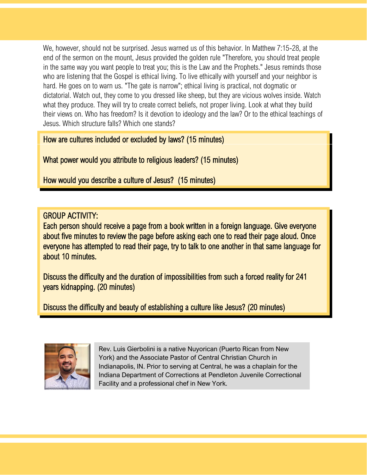We, however, should not be surprised. Jesus warned us of this behavior. In Matthew 7:15-28, at the end of the sermon on the mount, Jesus provided the golden rule "Therefore, you should treat people in the same way you want people to treat you; this is the Law and the Prophets." Jesus reminds those who are listening that the Gospel is ethical living. To live ethically with yourself and your neighbor is hard. He goes on to warn us. "The gate is narrow"; ethical living is practical, not dogmatic or dictatorial. Watch out, they come to you dressed like sheep, but they are vicious wolves inside. Watch what they produce. They will try to create correct beliefs, not proper living. Look at what they build their views on. Who has freedom? Is it devotion to ideology and the law? Or to the ethical teachings of Jesus. Which structure falls? Which one stands?

How are cultures included or excluded by laws? (15 minutes)

What power would you attribute to religious leaders? (15 minutes)

How would you describe a culture of Jesus? (15 minutes)

#### GROUP ACTIVITY:

Each person should receive a page from a book written in a foreign language. Give everyone about five minutes to review the page before asking each one to read their page aloud. Once everyone has attempted to read their page, try to talk to one another in that same language for about 10 minutes.

Discuss the difficulty and the duration of impossibilities from such a forced reality for 241 years kidnapping. (20 minutes)

Discuss the difficulty and beauty of establishing a culture like Jesus? (20 minutes)



Rev. Luis Gierbolini is a native Nuyorican (Puerto Rican from New York) and the Associate Pastor of Central Christian Church in Indianapolis, IN. Prior to serving at Central, he was a chaplain for the Indiana Department of Corrections at Pendleton Juvenile Correctional Facility and a professional chef in New York.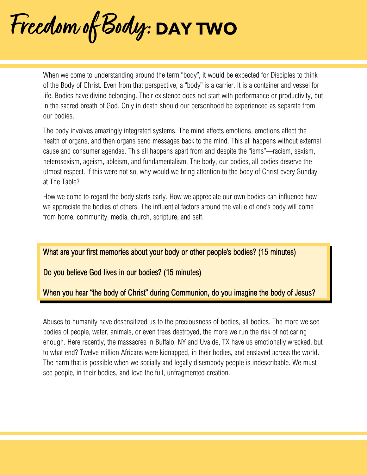**Freedom of Body: DAY TWO**

When we come to understanding around the term "body", it would be expected for Disciples to think of the Body of Christ. Even from that perspective, a "body" is a carrier. It is a container and vessel for life. Bodies have divine belonging. Their existence does not start with performance or productivity, but in the sacred breath of God. Only in death should our personhood be experienced as separate from our bodies.

The body involves amazingly integrated systems. The mind affects emotions, emotions affect the health of organs, and then organs send messages back to the mind. This all happens without external cause and consumer agendas. This all happens apart from and despite the "isms"—racism, sexism, heterosexism, ageism, ableism, and fundamentalism. The body, our bodies, all bodies deserve the utmost respect. If this were not so, why would we bring attention to the body of Christ every Sunday at The Table?

How we come to regard the body starts early. How we appreciate our own bodies can influence how we appreciate the bodies of others. The influential factors around the value of one's body will come from home, community, media, church, scripture, and self.

#### What are your first memories about your body or other people's bodies? (15 minutes)

Do you believe God lives in our bodies? (15 minutes)

When you hear "the body of Christ" during Communion, do you imagine the body of Jesus?

Abuses to humanity have desensitized us to the preciousness of bodies, all bodies. The more we see bodies of people, water, animals, or even trees destroyed, the more we run the risk of not caring enough. Here recently, the massacres in Buffalo, NY and Uvalde, TX have us emotionally wrecked, but to what end? Twelve million Africans were kidnapped, in their bodies, and enslaved across the world. The harm that is possible when we socially and legally disembody people is indescribable. We must see people, in their bodies, and love the full, unfragmented creation.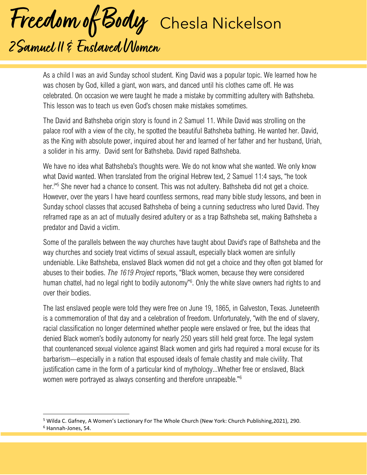## **Freedom of Body** Chesla Nickelson  **2 Samuel 11 & Enslaved Women**

As a child I was an avid Sunday school student. King David was a popular topic. We learned how he was chosen by God, killed a giant, won wars, and danced until his clothes came off. He was celebrated. On occasion we were taught he made a mistake by committing adultery with Bathsheba. This lesson was to teach us even God's chosen make mistakes sometimes.

The David and Bathsheba origin story is found in 2 Samuel 11. While David was strolling on the palace roof with a view of the city, he spotted the beautiful Bathsheba bathing. He wanted her. David, as the King with absolute power, inquired about her and learned of her father and her husband, Uriah, a solider in his army. David sent for Bathsheba. David raped Bathsheba.

We have no idea what Bathsheba's thoughts were. We do not know what she wanted. We only know what David wanted. When translated from the original Hebrew text, 2 Samuel 11:4 says, "he took her.<sup>in5</sup> She never had a chance to consent. This was not adultery. Bathsheba did not get a choice. However, over the years I have heard countless sermons, read many bible study lessons, and been in Sunday school classes that accused Bathsheba of being a cunning seductress who lured David. They reframed rape as an act of mutually desired adultery or as a trap Bathsheba set, making Bathsheba a predator and David a victim.

Some of the parallels between the way churches have taught about David's rape of Bathsheba and the way churches and society treat victims of sexual assault, especially black women are sinfully undeniable. Like Bathsheba, enslaved Black women did not get a choice and they often got blamed for abuses to their bodies. *The 1619 Project* reports, "Black women, because they were considered human chattel, had no legal right to bodily autonomy"<sup>6</sup>. Only the white slave owners had rights to and over their bodies.

The last enslaved people were told they were free on June 19, 1865, in Galveston, Texas. Juneteenth is a commemoration of that day and a celebration of freedom. Unfortunately, "with the end of slavery, racial classification no longer determined whether people were enslaved or free, but the ideas that denied Black women's bodily autonomy for nearly 250 years still held great force. The legal system that countenanced sexual violence against Black women and girls had required a moral excuse for its barbarism—especially in a nation that espoused ideals of female chastity and male civility. That justification came in the form of a particular kind of mythology...Whether free or enslaved, Black women were portrayed as always consenting and therefore unrapeable."<sup>6</sup>

<sup>5</sup> Wilda C. Gafney, A Women's Lectionary For The Whole Church (New York: Church Publishing,2021), 290.

<sup>6</sup> Hannah-Jones, 54.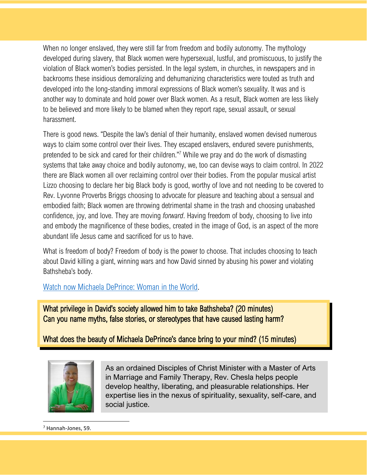When no longer enslaved, they were still far from freedom and bodily autonomy. The mythology developed during slavery, that Black women were hypersexual, lustful, and promiscuous, to justify the violation of Black women's bodies persisted. In the legal system, in churches, in newspapers and in backrooms these insidious demoralizing and dehumanizing characteristics were touted as truth and developed into the long-standing immoral expressions of Black women's sexuality. It was and is another way to dominate and hold power over Black women. As a result, Black women are less likely to be believed and more likely to be blamed when they report rape, sexual assault, or sexual harassment.

There is good news. "Despite the law's denial of their humanity, enslaved women devised numerous ways to claim some control over their lives. They escaped enslavers, endured severe punishments, pretended to be sick and cared for their children."<sup>7</sup> While we pray and do the work of dismasting systems that take away choice and bodily autonomy, we, too can devise ways to claim control. In 2022 there are Black women all over reclaiming control over their bodies. From the popular musical artist Lizzo choosing to declare her big Black body is good, worthy of love and not needing to be covered to Rev. Lyvonne Proverbs Briggs choosing to advocate for pleasure and teaching about a sensual and embodied faith; Black women are throwing detrimental shame in the trash and choosing unabashed confidence, joy, and love. They are moving *forward*. Having freedom of body, choosing to live into and embody the magnificence of these bodies, created in the image of God, is an aspect of the more abundant life Jesus came and sacrificed for us to have.

What is freedom of body? Freedom of body is the power to choose. That includes choosing to teach about David killing a giant, winning wars and how David sinned by abusing his power and violating Bathsheba's body.

[Watch now Michaela DePrince: Woman in the World.](https://youtu.be/KI7f6rb0WME)

What privilege in David's society allowed him to take Bathsheba? (20 minutes) Can you name myths, false stories, or stereotypes that have caused lasting harm?

What does the beauty of Michaela DePrince's dance bring to your mind? (15 minutes)



As an ordained Disciples of Christ Minister with a Master of Arts in Marriage and Family Therapy, Rev. Chesla helps people develop healthy, liberating, and pleasurable relationships. Her expertise lies in the nexus of spirituality, sexuality, self-care, and social justice.

<sup>7</sup> Hannah-Jones, 59.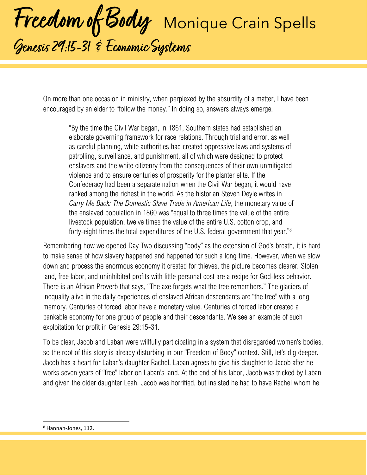Freedom of Body Monique Crain Spells  **Genesis 29:15-31 & Economic Systems**

On more than one occasion in ministry, when perplexed by the absurdity of a matter, I have been encouraged by an elder to "follow the money." In doing so, answers always emerge.

"By the time the Civil War began, in 1861, Southern states had established an elaborate governing framework for race relations. Through trial and error, as well as careful planning, white authorities had created oppressive laws and systems of patrolling, surveillance, and punishment, all of which were designed to protect enslavers and the white citizenry from the consequences of their own unmitigated violence and to ensure centuries of prosperity for the planter elite. If the Confederacy had been a separate nation when the Civil War began, it would have ranked among the richest in the world. As the historian Steven Deyle writes in *Carry Me Back: The Domestic Slave Trade in American Life*, the monetary value of the enslaved population in 1860 was "equal to three times the value of the entire livestock population, twelve times the value of the entire U.S. cotton crop, and forty-eight times the total expenditures of the U.S. federal government that year."<sup>8</sup>

Remembering how we opened Day Two discussing "body" as the extension of God's breath, it is hard to make sense of how slavery happened and happened for such a long time. However, when we slow down and process the enormous economy it created for thieves, the picture becomes clearer. Stolen land, free labor, and uninhibited profits with little personal cost are a recipe for God-less behavior. There is an African Proverb that says, "The axe forgets what the tree remembers." The glaciers of inequality alive in the daily experiences of enslaved African descendants are "the tree" with a long memory. Centuries of forced labor have a monetary value. Centuries of forced labor created a bankable economy for one group of people and their descendants. We see an example of such exploitation for profit in Genesis 29:15-31.

To be clear, Jacob and Laban were willfully participating in a system that disregarded women's bodies, so the root of this story is already disturbing in our "Freedom of Body" context. Still, let's dig deeper. Jacob has a heart for Laban's daughter Rachel. Laban agrees to give his daughter to Jacob after he works seven years of "free" labor on Laban's land. At the end of his labor, Jacob was tricked by Laban and given the older daughter Leah. Jacob was horrified, but insisted he had to have Rachel whom he

<sup>8</sup> Hannah-Jones, 112.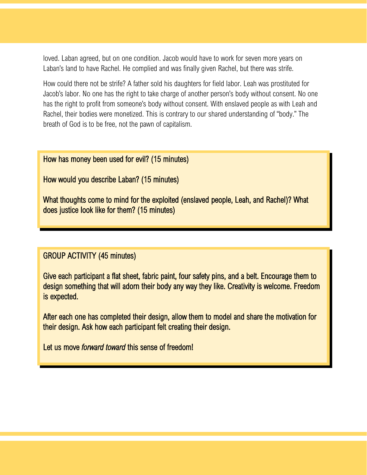loved. Laban agreed, but on one condition. Jacob would have to work for seven more years on Laban's land to have Rachel. He complied and was finally given Rachel, but there was strife.

How could there not be strife? A father sold his daughters for field labor. Leah was prostituted for Jacob's labor. No one has the right to take charge of another person's body without consent. No one has the right to profit from someone's body without consent. With enslaved people as with Leah and Rachel, their bodies were monetized. This is contrary to our shared understanding of "body." The breath of God is to be free, not the pawn of capitalism.

How has money been used for evil? (15 minutes)

How would you describe Laban? (15 minutes)

What thoughts come to mind for the exploited (enslaved people, Leah, and Rachel)? What does justice look like for them? (15 minutes)

#### GROUP ACTIVITY (45 minutes)

Give each participant a flat sheet, fabric paint, four safety pins, and a belt. Encourage them to design something that will adorn their body any way they like. Creativity is welcome. Freedom is expected.

After each one has completed their design, allow them to model and share the motivation for their design. Ask how each participant felt creating their design.

Let us move *forward toward* this sense of freedom!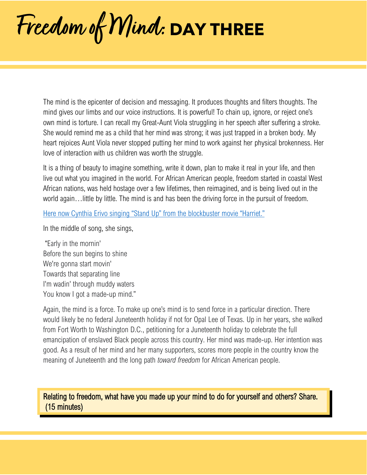# **Freedom of Mind: DAY THREE**

The mind is the epicenter of decision and messaging. It produces thoughts and filters thoughts. The mind gives our limbs and our voice instructions. It is powerful! To chain up, ignore, or reject one's own mind is torture. I can recall my Great-Aunt Viola struggling in her speech after suffering a stroke. She would remind me as a child that her mind was strong; it was just trapped in a broken body. My heart rejoices Aunt Viola never stopped putting her mind to work against her physical brokenness. Her love of interaction with us children was worth the struggle.

It is a thing of beauty to imagine something, write it down, plan to make it real in your life, and then live out what you imagined in the world. For African American people, freedom started in coastal West African nations, was held hostage over a few lifetimes, then reimagined, and is being lived out in the world again…little by little. The mind is and has been the driving force in the pursuit of freedom.

Here now Cynthia Erivo singing ["Stand Up" from the blockbuster movie "Harriet."](https://youtu.be/sn19xvfoXvk)

In the middle of song, she sings,

"Early in the mornin' Before the sun begins to shine We're gonna start movin' Towards that separating line I'm wadin' through muddy waters You know I got a made-up mind."

Again, the mind is a force. To make up one's mind is to send force in a particular direction. There would likely be no federal Juneteenth holiday if not for Opal Lee of Texas. Up in her years, she walked from Fort Worth to Washington D.C., petitioning for a Juneteenth holiday to celebrate the full emancipation of enslaved Black people across this country. Her mind was made-up. Her intention was good. As a result of her mind and her many supporters, scores more people in the country know the meaning of Juneteenth and the long path *toward freedom* for African American people.

### Relating to freedom, what have you made up your mind to do for yourself and others? Share. (15 minutes)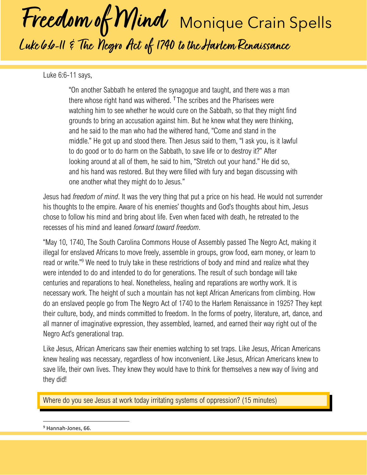Freedom of Mind Monique Crain Spells  **Luke 6:6-11 & The Negro Act of 1740 to the Harlem Renaissance** 

Luke 6:6-11 says,

"On another Sabbath he entered the synagogue and taught, and there was a man there whose right hand was withered. <sup>T</sup> The scribes and the Pharisees were watching him to see whether he would cure on the Sabbath, so that they might find grounds to bring an accusation against him. But he knew what they were thinking, and he said to the man who had the withered hand, "Come and stand in the middle." He got up and stood there. Then Jesus said to them, "I ask you, is it lawful to do good or to do harm on the Sabbath, to save life or to destroy it?" After looking around at all of them, he said to him, "Stretch out your hand." He did so, and his hand was restored. But they were filled with fury and began discussing with one another what they might do to Jesus."

Jesus had *freedom of mind*. It was the very thing that put a price on his head. He would not surrender his thoughts to the empire. Aware of his enemies' thoughts and God's thoughts about him, Jesus chose to follow his mind and bring about life. Even when faced with death, he retreated to the recesses of his mind and leaned *forward toward freedom*.

"May 10, 1740, The South Carolina Commons House of Assembly passed The Negro Act, making it illegal for enslaved Africans to move freely, assemble in groups, grow food, earn money, or learn to read or write."<sup>9</sup> We need to truly take in these restrictions of body and mind and realize what they were intended to do and intended to do for generations. The result of such bondage will take centuries and reparations to heal. Nonetheless, healing and reparations are worthy work. It is necessary work. The height of such a mountain has not kept African Americans from climbing. How do an enslaved people go from The Negro Act of 1740 to the Harlem Renaissance in 1925? They kept their culture, body, and minds committed to freedom. In the forms of poetry, literature, art, dance, and all manner of imaginative expression, they assembled, learned, and earned their way right out of the Negro Act's generational trap.

Like Jesus, African Americans saw their enemies watching to set traps. Like Jesus, African Americans knew healing was necessary, regardless of how inconvenient. Like Jesus, African Americans knew to save life, their own lives. They knew they would have to think for themselves a new way of living and they did!

Where do you see Jesus at work today irritating systems of oppression? (15 minutes)

<sup>9</sup> Hannah-Jones, 66.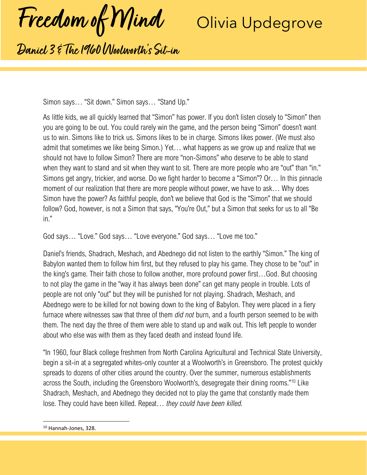Freedom of **Mind** Olivia Updegrove

 **Daniel 3&The 1960 Woolworth'sSit-in** 

Simon says… "Sit down." Simon says… "Stand Up."

As little kids, we all quickly learned that "Simon" has power. If you don't listen closely to "Simon" then you are going to be out. You could rarely win the game, and the person being "Simon" doesn't want us to win. Simons like to trick us. Simons likes to be in charge. Simons likes power. (We must also admit that sometimes we like being Simon.) Yet… what happens as we grow up and realize that we should not have to follow Simon? There are more "non-Simons" who deserve to be able to stand when they want to stand and sit when they want to sit. There are more people who are "out" than "in." Simons get angry, trickier, and worse. Do we fight harder to become a "Simon"? Or… In this pinnacle moment of our realization that there are more people without power, we have to ask… Why does Simon have the power? As faithful people, don't we believe that God is the "Simon" that we should follow? God, however, is not a Simon that says, "You're Out," but a Simon that seeks for us to all "Be in."

God says… "Love." God says… "Love everyone." God says… "Love me too."

Daniel's friends, Shadrach, Meshach, and Abednego did not listen to the earthly "Simon." The king of Babylon wanted them to follow him first, but they refused to play his game. They chose to be "out" in the king's game. Their faith chose to follow another, more profound power first…God. But choosing to not play the game in the "way it has always been done" can get many people in trouble. Lots of people are not only "out" but they will be punished for not playing. Shadrach, Meshach, and Abednego were to be killed for not bowing down to the king of Babylon. They were placed in a fiery furnace where witnesses saw that three of them *did not* burn, and a fourth person seemed to be with them. The next day the three of them were able to stand up and walk out. This left people to wonder about who else was with them as they faced death and instead found life.

"In 1960, four Black college freshmen from North Carolina Agricultural and Technical State University, begin a sit-in at a segregated whites-only counter at a Woolworth's in Greensboro. The protest quickly spreads to dozens of other cities around the country. Over the summer, numerous establishments across the South, including the Greensboro Woolworth's, desegregate their dining rooms."<sup>10</sup> Like Shadrach, Meshach, and Abednego they decided not to play the game that constantly made them lose. They could have been killed. Repeat… *they could have been killed.*

<sup>10</sup> Hannah-Jones, 328.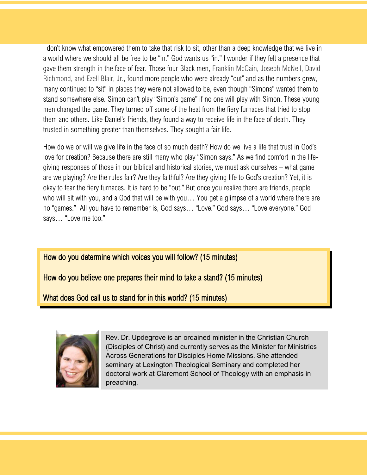I don't know what empowered them to take that risk to sit, other than a deep knowledge that we live in a world where we should all be free to be "in." God wants us "in." I wonder if they felt a presence that gave them strength in the face of fear. Those four Black men, Franklin McCain, Joseph McNeil, David Richmond, and Ezell Blair, Jr., found more people who were already "out" and as the numbers grew, many continued to "sit" in places they were not allowed to be, even though "Simons" wanted them to stand somewhere else. Simon can't play "Simon's game" if no one will play with Simon. These young men changed the game. They turned off some of the heat from the fiery furnaces that tried to stop them and others. Like Daniel's friends, they found a way to receive life in the face of death. They trusted in something greater than themselves. They sought a fair life.

How do we or will we give life in the face of so much death? How do we live a life that trust in God's love for creation? Because there are still many who play "Simon says." As we find comfort in the lifegiving responses of those in our biblical and historical stories, we must ask ourselves – what game are we playing? Are the rules fair? Are they faithful? Are they giving life to God's creation? Yet, it is okay to fear the fiery furnaces. It is hard to be "out." But once you realize there are friends, people who will sit with you, and a God that will be with you… You get a glimpse of a world where there are no "games." All you have to remember is, God says… "Love." God says… "Love everyone." God says… "Love me too."

How do you determine which voices you will follow? (15 minutes)

How do you believe one prepares their mind to take a stand? (15 minutes)

What does God call us to stand for in this world? (15 minutes)



Rev. Dr. Updegrove is an ordained minister in the Christian Church (Disciples of Christ) and currently serves as the Minister for Ministries Across Generations for Disciples Home Missions. She attended seminary at Lexington Theological Seminary and completed her doctoral work at Claremont School of Theology with an emphasis in preaching.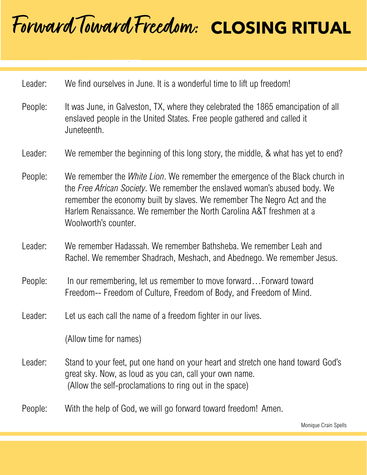## **Forward Toward Freedom: CLOSING RITUAL**

Leader: We find ourselves in June. It is a wonderful time to lift up freedom!

People: It was June, in Galveston, TX, where they celebrated the 1865 emancipation of all enslaved people in the United States. Free people gathered and called it Juneteenth.

Leader: We remember the beginning of this long story, the middle, & what has yet to end?

People: We remember the *White Lion*. We remember the emergence of the Black church in the *Free African Society*. We remember the enslaved woman's abused body. We remember the economy built by slaves. We remember The Negro Act and the Harlem Renaissance. We remember the North Carolina A&T freshmen at a Woolworth's counter.

Leader: We remember Hadassah. We remember Bathsheba. We remember Leah and Rachel. We remember Shadrach, Meshach, and Abednego. We remember Jesus.

People: In our remembering, let us remember to move forward…Forward toward Freedom-- Freedom of Culture, Freedom of Body, and Freedom of Mind.

Leader: Let us each call the name of a freedom fighter in our lives.

(Allow time for names)

- Leader: Stand to your feet, put one hand on your heart and stretch one hand toward God's great sky. Now, as loud as you can, call your own name. (Allow the self-proclamations to ring out in the space)
- People: With the help of God, we will go forward toward freedom! Amen.